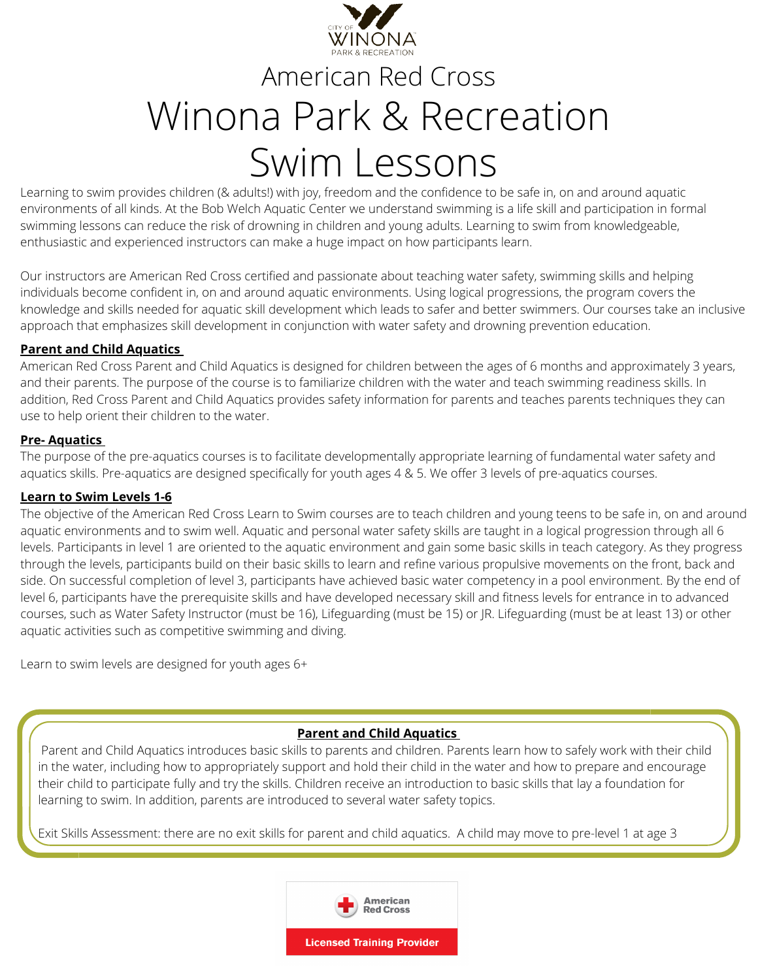

# American Red Cross Winona Park & Recreation Swim Lessons

Learning to swim provides children (& adults!) with joy, freedom and the confidence to be safe in, on and around aquatic environments of all kinds. At the Bob Welch Aquatic Center we understand swimming is a life skill and participation in formal swimming lessons can reduce the risk of drowning in children and young adults. Learning to swim from knowledgeable, enthusiastic and experienced instructors can make a huge impact on how participants learn.

Our instructors are American Red Cross certified and passionate about teaching water safety, swimming skills and helping individuals become confident in, on and around aquatic environments. Using logical progressions, the program covers the knowledge and skills needed for aquatic skill development which leads to safer and better swimmers. Our courses take an inclusive approach that emphasizes skill development in conjunction with water safety and drowning prevention education.

## **Parent and Child Aquatics**

American Red Cross Parent and Child Aquatics is designed for children between the ages of 6 months and approximately 3 years, and their parents. The purpose of the course is to familiarize children with the water and teach swimming readiness skills. In addition, Red Cross Parent and Child Aquatics provides safety information for parents and teaches parents techniques they can use to help orient their children to the water.

## **Pre- Aquatics**

The purpose of the pre-aquatics courses is to facilitate developmentally appropriate learning of fundamental water safety and aquatics skills. Pre-aquatics are designed specifically for youth ages 4 & 5. We offer 3 levels of pre-aquatics courses.

#### **Learn to Swim Levels 1-6**

The objective of the American Red Cross Learn to Swim courses are to teach children and young teens to be safe in, on and around aquatic environments and to swim well. Aquatic and personal water safety skills are taught in a logical progression through all 6 levels. Participants in level 1 are oriented to the aquatic environment and gain some basic skills in teach category. As they progress through the levels, participants build on their basic skills to learn and refine various propulsive movements on the front, back and side. On successful completion of level 3, participants have achieved basic water competency in a pool environment. By the end of level 6, participants have the prerequisite skills and have developed necessary skill and fitness levels for entrance in to advanced courses, such as Water Safety Instructor (must be 16), Lifeguarding (must be 15) or JR. Lifeguarding (must be at least 13) or other aquatic activities such as competitive swimming and diving.

Learn to swim levels are designed for youth ages 6+

# **Parent and Child Aquatics**

Parent and Child Aquatics introduces basic skills to parents and children. Parents learn how to safely work with their child in the water, including how to appropriately support and hold their child in the water and how to prepare and encourage their child to participate fully and try the skills. Children receive an introduction to basic skills that lay a foundation for learning to swim. In addition, parents are introduced to several water safety topics.

Exit Skills Assessment: there are no exit skills for parent and child aquatics. A child may move to pre-level 1 at age 3

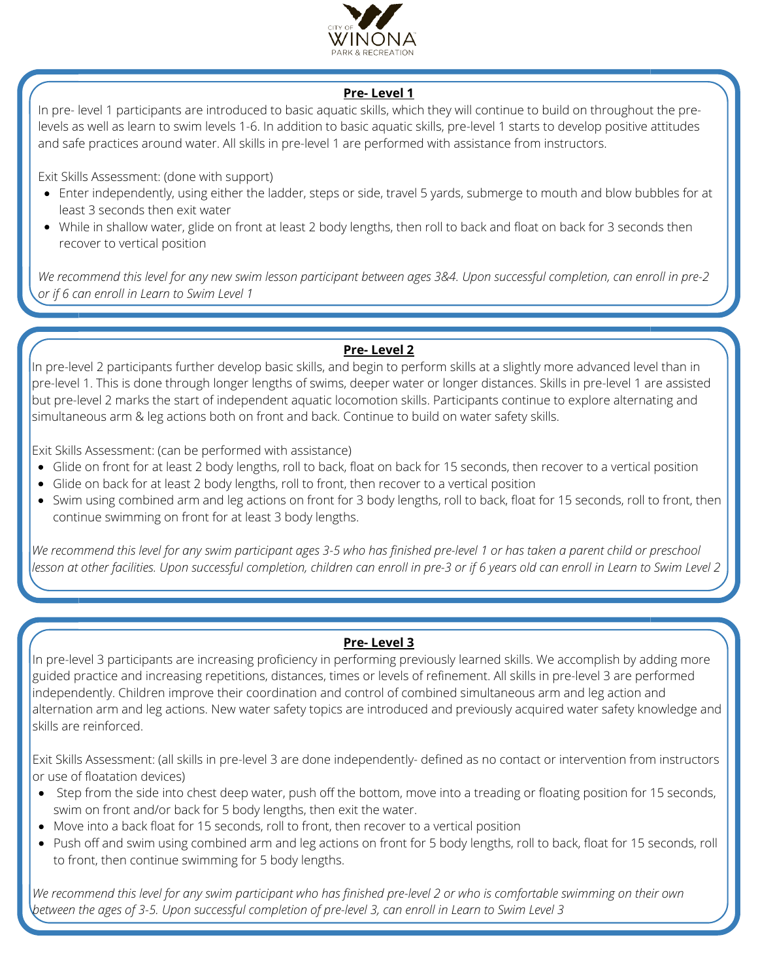

# **Pre- Level 1**

In pre- level 1 participants are introduced to basic aquatic skills, which they will continue to build on throughout the prelevels as well as learn to swim levels 1-6. In addition to basic aquatic skills, pre-level 1 starts to develop positive attitudes and safe practices around water. All skills in pre-level 1 are performed with assistance from instructors.

Exit Skills Assessment: (done with support)

- Enter independently, using either the ladder, steps or side, travel 5 yards, submerge to mouth and blow bubbles for at least 3 seconds then exit water
- While in shallow water, glide on front at least 2 body lengths, then roll to back and float on back for 3 seconds then recover to vertical position

We recommend this level for any new swim lesson participant between ages 3&4. Upon successful completion, can enroll in pre-2 *or if 6 can enroll in Learn to Swim Level 1*

# **Pre- Level 2**

In pre-level 2 participants further develop basic skills, and begin to perform skills at a slightly more advanced level than in pre-level 1. This is done through longer lengths of swims, deeper water or longer distances. Skills in pre-level 1 are assisted but pre-level 2 marks the start of independent aquatic locomotion skills. Participants continue to explore alternating and simultaneous arm & leg actions both on front and back. Continue to build on water safety skills.

Exit Skills Assessment: (can be performed with assistance)

- Glide on front for at least 2 body lengths, roll to back, float on back for 15 seconds, then recover to a vertical position
- Glide on back for at least 2 body lengths, roll to front, then recover to a vertical position
- Swim using combined arm and leg actions on front for 3 body lengths, roll to back, float for 15 seconds, roll to front, then continue swimming on front for at least 3 body lengths.

We recommend this level for any swim participant ages 3-5 who has finished pre-level 1 or has taken a parent child or preschool lesson at other facilities. Upon successful completion, children can enroll in pre-3 or if 6 years old can enroll in Learn to Swim Level 2

# **Pre- Level 3**

In pre-level 3 participants are increasing proficiency in performing previously learned skills. We accomplish by adding more guided practice and increasing repetitions, distances, times or levels of refinement. All skills in pre-level 3 are performed independently. Children improve their coordination and control of combined simultaneous arm and leg action and alternation arm and leg actions. New water safety topics are introduced and previously acquired water safety knowledge and skills are reinforced.

Exit Skills Assessment: (all skills in pre-level 3 are done independently- defined as no contact or intervention from instructors or use of floatation devices)

- Step from the side into chest deep water, push off the bottom, move into a treading or floating position for 15 seconds, swim on front and/or back for 5 body lengths, then exit the water.
- $\bullet$  Move into a back float for 15 seconds, roll to front, then recover to a vertical position
- Push off and swim using combined arm and leg actions on front for 5 body lengths, roll to back, float for 15 seconds, roll to front, then continue swimming for 5 body lengths.

We recommend this level for any swim participant who has finished pre-level 2 or who is comfortable swimming on their own 13 between the ages of 3-5. Upon successful completion of pre-level 3, can enroll in Learn to Swim Level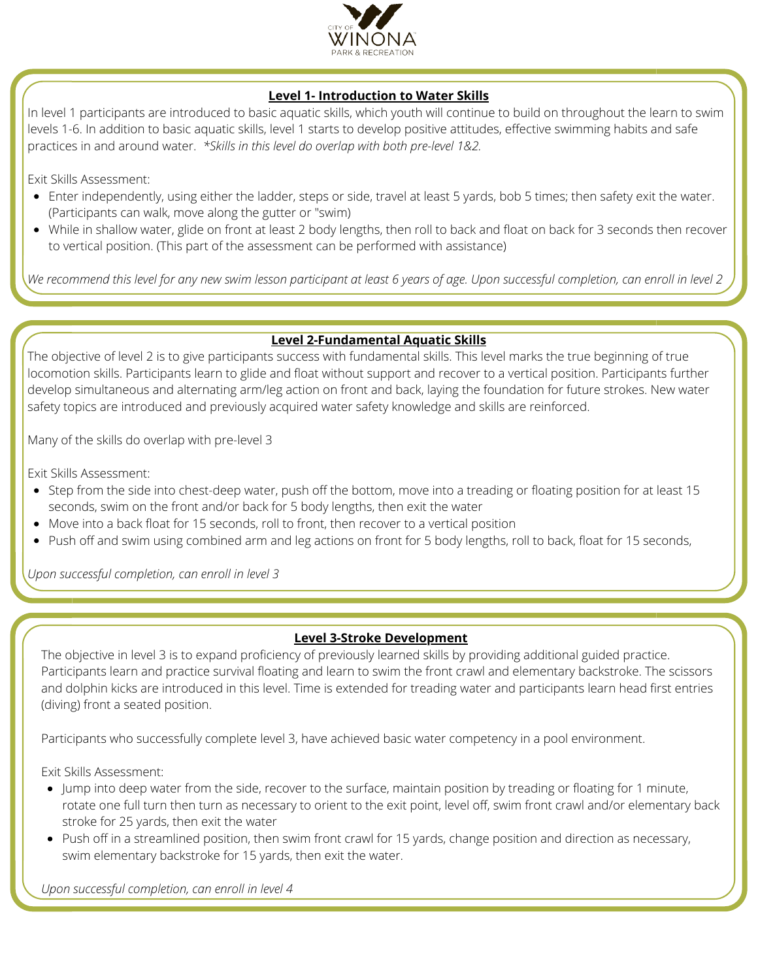

# **Level 1- Introduction to Water Skills**

In level 1 participants are introduced to basic aquatic skills, which youth will continue to build on throughout the learn to swim levels 1-6. In addition to basic aquatic skills, level 1 starts to develop positive attitudes, effective swimming habits and safe practices in and around water. *\*Skills in this level do overlap with both pre-level 1&2.*

Exit Skills Assessment:

- Enter independently, using either the ladder, steps or side, travel at least 5 yards, bob 5 times; then safety exit the water. (Participants can walk, move along the gutter or "swim)
- While in shallow water, glide on front at least 2 body lengths, then roll to back and float on back for 3 seconds then recover to vertical position. (This part of the assessment can be performed with assistance)

We recommend this level for any new swim lesson participant at least 6 years of age. Upon successful completion, can enroll in level 2

## **Level 2-Fundamental Aquatic Skills**

The objective of level 2 is to give participants success with fundamental skills. This level marks the true beginning of true locomotion skills. Participants learn to glide and float without support and recover to a vertical position. Participants further develop simultaneous and alternating arm/leg action on front and back, laying the foundation for future strokes. New water safety topics are introduced and previously acquired water safety knowledge and skills are reinforced.

Many of the skills do overlap with pre-level 3

Exit Skills Assessment:

- Step from the side into chest-deep water, push off the bottom, move into a treading or floating position for at least 15 seconds, swim on the front and/or back for 5 body lengths, then exit the water
- Move into a back float for 15 seconds, roll to front, then recover to a vertical position
- Push off and swim using combined arm and leg actions on front for 5 body lengths, roll to back, float for 15 seconds,

*Upon successful completion, can enroll in level 3*

#### **Level 3-Stroke Development**

The objective in level 3 is to expand proficiency of previously learned skills by providing additional guided practice. Participants learn and practice survival floating and learn to swim the front crawl and elementary backstroke. The scissors and dolphin kicks are introduced in this level. Time is extended for treading water and participants learn head first entries (diving) front a seated position.

Participants who successfully complete level 3, have achieved basic water competency in a pool environment.

Exit Skills Assessment:

- Jump into deep water from the side, recover to the surface, maintain position by treading or floating for 1 minute, rotate one full turn then turn as necessary to orient to the exit point, level off, swim front crawl and/or elementary back stroke for 25 yards, then exit the water
- Push off in a streamlined position, then swim front crawl for 15 yards, change position and direction as necessary, swim elementary backstroke for 15 yards, then exit the water.

*Upon successful completion, can enroll in level 4*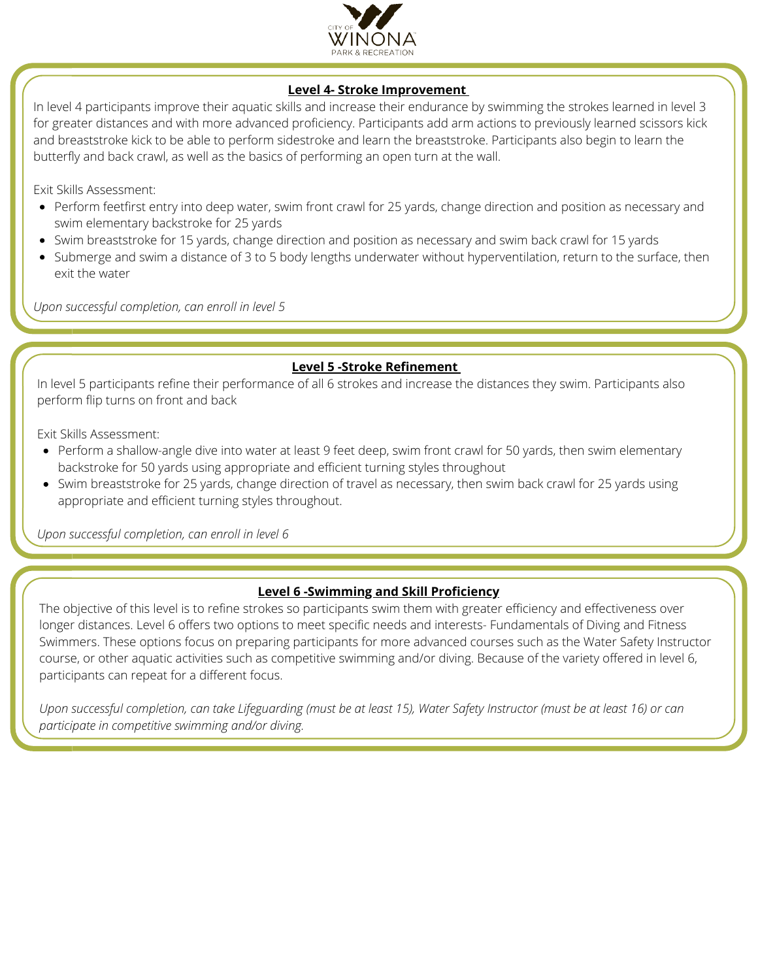

#### **Level 4- Stroke Improvement**

In level 4 participants improve their aquatic skills and increase their endurance by swimming the strokes learned in level 3 for greater distances and with more advanced proficiency. Participants add arm actions to previously learned scissors kick and breaststroke kick to be able to perform sidestroke and learn the breaststroke. Participants also begin to learn the butterfly and back crawl, as well as the basics of performing an open turn at the wall.

Exit Skills Assessment:

- Perform feetfirst entry into deep water, swim front crawl for 25 yards, change direction and position as necessary and swim elementary backstroke for 25 yards
- Swim breaststroke for 15 yards, change direction and position as necessary and swim back crawl for 15 yards
- Submerge and swim a distance of 3 to 5 body lengths underwater without hyperventilation, return to the surface, then exit the water

*Upon successful completion, can enroll in level 5*

#### **Level 5 -Stroke Refinement**

In level 5 participants refine their performance of all 6 strokes and increase the distances they swim. Participants also perform flip turns on front and back

Exit Skills Assessment:

- Perform a shallow-angle dive into water at least 9 feet deep, swim front crawl for 50 yards, then swim elementary backstroke for 50 yards using appropriate and efficient turning styles throughout
- Swim breaststroke for 25 yards, change direction of travel as necessary, then swim back crawl for 25 yards using appropriate and efficient turning styles throughout.

*Upon successful completion, can enroll in level 6*

# **Level 6 -Swimming and Skill Proficiency**

The objective of this level is to refine strokes so participants swim them with greater efficiency and effectiveness over longer distances. Level 6 offers two options to meet specific needs and interests- Fundamentals of Diving and Fitness Swimmers. These options focus on preparing participants for more advanced courses such as the Water Safety Instructor course, or other aquatic activities such as competitive swimming and/or diving. Because of the variety offered in level 6, participants can repeat for a different focus.

Upon successful completion, can take Lifeguarding (must be at least 15), Water Safety Instructor (must be at least 16) or can *participate in competitive swimming and/or diving.*